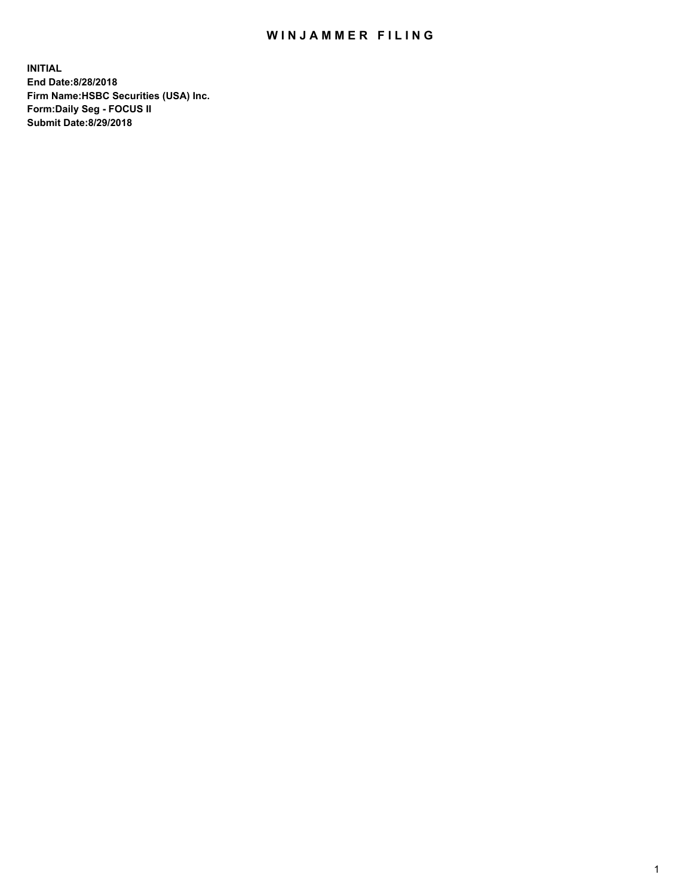## WIN JAMMER FILING

**INITIAL End Date:8/28/2018 Firm Name:HSBC Securities (USA) Inc. Form:Daily Seg - FOCUS II Submit Date:8/29/2018**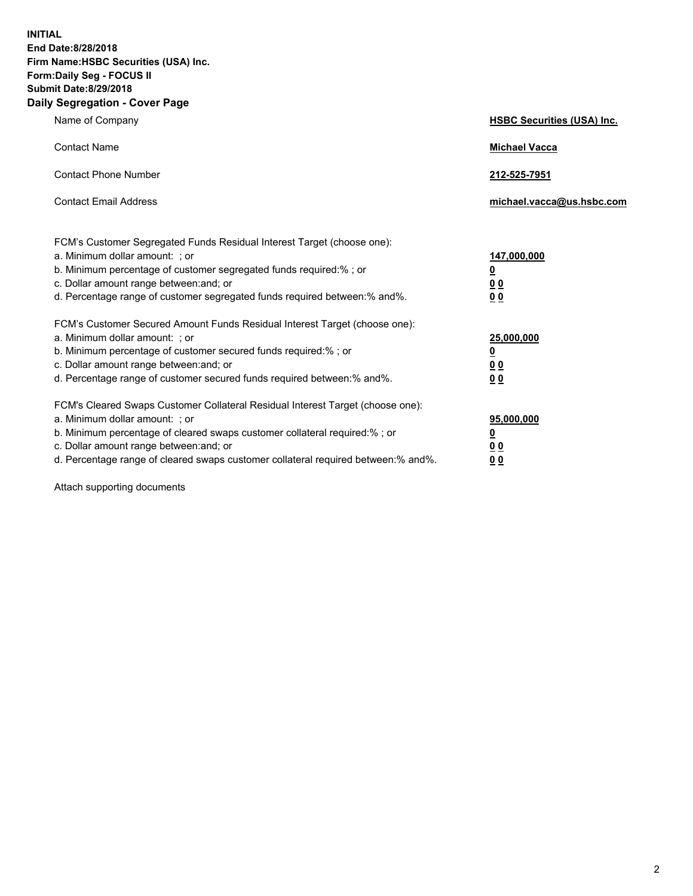**INITIAL End Date:8/28/2018 Firm Name:HSBC Securities (USA) Inc. Form:Daily Seg - FOCUS II Submit Date:8/29/2018 Daily Segregation - Cover Page**

| Name of Company                                                                                                                                                                                                                                                                                                                | <b>HSBC Securities (USA) Inc.</b>                                          |
|--------------------------------------------------------------------------------------------------------------------------------------------------------------------------------------------------------------------------------------------------------------------------------------------------------------------------------|----------------------------------------------------------------------------|
| <b>Contact Name</b>                                                                                                                                                                                                                                                                                                            | <b>Michael Vacca</b>                                                       |
| <b>Contact Phone Number</b>                                                                                                                                                                                                                                                                                                    | 212-525-7951                                                               |
| <b>Contact Email Address</b>                                                                                                                                                                                                                                                                                                   | michael.vacca@us.hsbc.com                                                  |
| FCM's Customer Segregated Funds Residual Interest Target (choose one):<br>a. Minimum dollar amount: ; or<br>b. Minimum percentage of customer segregated funds required:% ; or<br>c. Dollar amount range between: and; or<br>d. Percentage range of customer segregated funds required between:% and%.                         | 147,000,000<br>$\overline{\mathbf{0}}$<br>0 <sub>0</sub><br>0 <sub>0</sub> |
| FCM's Customer Secured Amount Funds Residual Interest Target (choose one):<br>a. Minimum dollar amount: ; or<br>b. Minimum percentage of customer secured funds required:% ; or<br>c. Dollar amount range between: and; or<br>d. Percentage range of customer secured funds required between:% and%.                           | 25,000,000<br><u>0</u><br>0 <sub>0</sub><br>0 <sub>0</sub>                 |
| FCM's Cleared Swaps Customer Collateral Residual Interest Target (choose one):<br>a. Minimum dollar amount: ; or<br>b. Minimum percentage of cleared swaps customer collateral required:% ; or<br>c. Dollar amount range between: and; or<br>d. Percentage range of cleared swaps customer collateral required between:% and%. | 95,000,000<br><u>0</u><br>00<br>0 <sub>0</sub>                             |

Attach supporting documents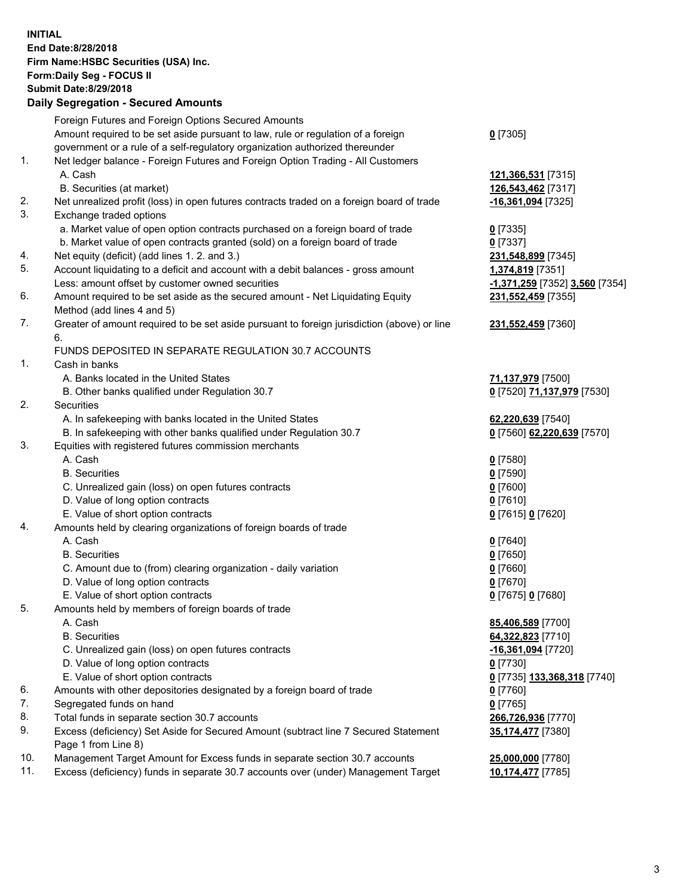**INITIAL End Date:8/28/2018 Firm Name:HSBC Securities (USA) Inc. Form:Daily Seg - FOCUS II Submit Date:8/29/2018 Daily Segregation - Secured Amounts** Foreign Futures and Foreign Options Secured Amounts Amount required to be set aside pursuant to law, rule or regulation of a foreign government or a rule of a self-regulatory organization authorized thereunder **0** [7305] 1. Net ledger balance - Foreign Futures and Foreign Option Trading - All Customers A. Cash **121,366,531** [7315] B. Securities (at market) **126,543,462** [7317] 2. Net unrealized profit (loss) in open futures contracts traded on a foreign board of trade **-16,361,094** [7325] 3. Exchange traded options a. Market value of open option contracts purchased on a foreign board of trade **0** [7335] b. Market value of open contracts granted (sold) on a foreign board of trade **0** [7337] 4. Net equity (deficit) (add lines 1. 2. and 3.) **231,548,899** [7345] 5. Account liquidating to a deficit and account with a debit balances - gross amount **1,374,819** [7351] Less: amount offset by customer owned securities **-1,371,259** [7352] **3,560** [7354] 6. Amount required to be set aside as the secured amount - Net Liquidating Equity Method (add lines 4 and 5) **231,552,459** [7355] 7. Greater of amount required to be set aside pursuant to foreign jurisdiction (above) or line 6. **231,552,459** [7360] FUNDS DEPOSITED IN SEPARATE REGULATION 30.7 ACCOUNTS 1. Cash in banks A. Banks located in the United States **71,137,979** [7500] B. Other banks qualified under Regulation 30.7 **0** [7520] **71,137,979** [7530] 2. Securities A. In safekeeping with banks located in the United States **62,220,639** [7540] B. In safekeeping with other banks qualified under Regulation 30.7 **0** [7560] **62,220,639** [7570] 3. Equities with registered futures commission merchants A. Cash **0** [7580] B. Securities **0** [7590] C. Unrealized gain (loss) on open futures contracts **0** [7600] D. Value of long option contracts **0** [7610] E. Value of short option contracts **0** [7615] **0** [7620] 4. Amounts held by clearing organizations of foreign boards of trade A. Cash **0** [7640] B. Securities **0** [7650] C. Amount due to (from) clearing organization - daily variation **0** [7660] D. Value of long option contracts **0** [7670] E. Value of short option contracts **0** [7675] **0** [7680] 5. Amounts held by members of foreign boards of trade A. Cash **85,406,589** [7700] B. Securities **64,322,823** [7710] C. Unrealized gain (loss) on open futures contracts **-16,361,094** [7720] D. Value of long option contracts **0** [7730] E. Value of short option contracts **0** [7735] **133,368,318** [7740] 6. Amounts with other depositories designated by a foreign board of trade **0** [7760] 7. Segregated funds on hand **0** [7765] 8. Total funds in separate section 30.7 accounts **266,726,936** [7770] 9. Excess (deficiency) Set Aside for Secured Amount (subtract line 7 Secured Statement Page 1 from Line 8) **35,174,477** [7380] 10. Management Target Amount for Excess funds in separate section 30.7 accounts **25,000,000** [7780]

11. Excess (deficiency) funds in separate 30.7 accounts over (under) Management Target **10,174,477** [7785]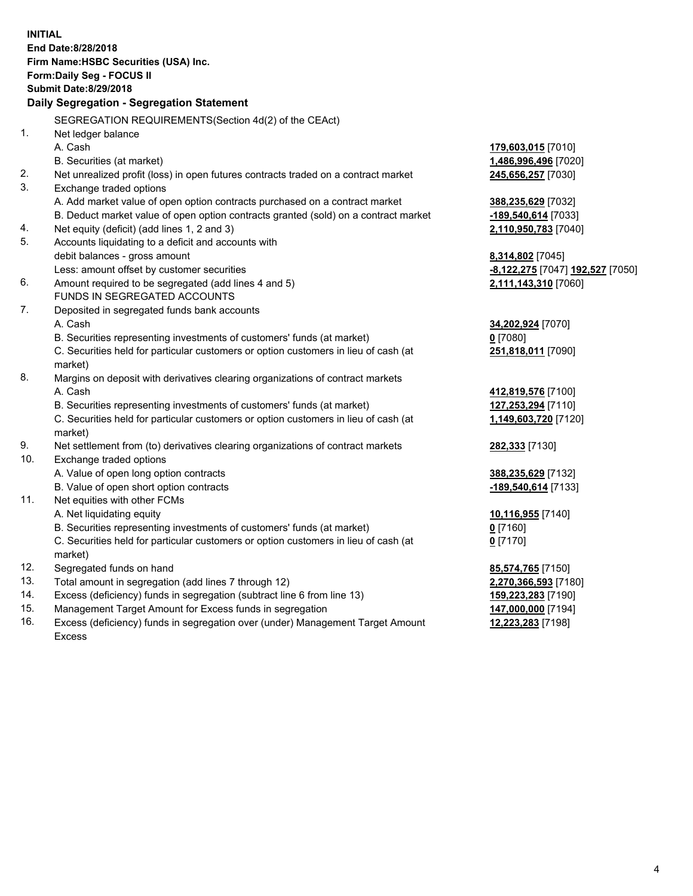**INITIAL End Date:8/28/2018 Firm Name:HSBC Securities (USA) Inc. Form:Daily Seg - FOCUS II Submit Date:8/29/2018 Daily Segregation - Segregation Statement** SEGREGATION REQUIREMENTS(Section 4d(2) of the CEAct) 1. Net ledger balance A. Cash **179,603,015** [7010] B. Securities (at market) **1,486,996,496** [7020] 2. Net unrealized profit (loss) in open futures contracts traded on a contract market **245,656,257** [7030] 3. Exchange traded options A. Add market value of open option contracts purchased on a contract market **388,235,629** [7032] B. Deduct market value of open option contracts granted (sold) on a contract market **-189,540,614** [7033] 4. Net equity (deficit) (add lines 1, 2 and 3) **2,110,950,783** [7040] 5. Accounts liquidating to a deficit and accounts with debit balances - gross amount **8,314,802** [7045] Less: amount offset by customer securities **-8,122,275** [7047] **192,527** [7050] 6. Amount required to be segregated (add lines 4 and 5) **2,111,143,310** [7060] FUNDS IN SEGREGATED ACCOUNTS 7. Deposited in segregated funds bank accounts A. Cash **34,202,924** [7070] B. Securities representing investments of customers' funds (at market) **0** [7080] C. Securities held for particular customers or option customers in lieu of cash (at market) **251,818,011** [7090] 8. Margins on deposit with derivatives clearing organizations of contract markets A. Cash **412,819,576** [7100] B. Securities representing investments of customers' funds (at market) **127,253,294** [7110] C. Securities held for particular customers or option customers in lieu of cash (at market) **1,149,603,720** [7120] 9. Net settlement from (to) derivatives clearing organizations of contract markets **282,333** [7130] 10. Exchange traded options A. Value of open long option contracts **388,235,629** [7132] B. Value of open short option contracts **-189,540,614** [7133] 11. Net equities with other FCMs A. Net liquidating equity **10,116,955** [7140] B. Securities representing investments of customers' funds (at market) **0** [7160] C. Securities held for particular customers or option customers in lieu of cash (at market) **0** [7170] 12. Segregated funds on hand **85,574,765** [7150] 13. Total amount in segregation (add lines 7 through 12) **2,270,366,593** [7180] 14. Excess (deficiency) funds in segregation (subtract line 6 from line 13) **159,223,283** [7190] 15. Management Target Amount for Excess funds in segregation **147,000,000** [7194] 16. Excess (deficiency) funds in segregation over (under) Management Target Amount **12,223,283** [7198]

Excess